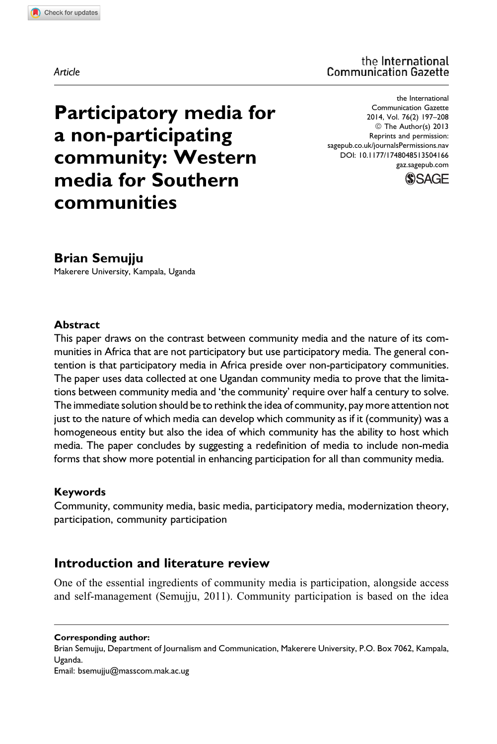the International **Communication Gazette** 

Participatory media for a non-participating community: Western media for Southern communities

the International Communication Gazette 2014, Vol. 76(2) 197–208 © The Author(s) 2013 Reprints and permission: [sagepub.co.uk/journalsPermissions.nav](http://www.sagepub.co.uk/journalsPermissions.nav) DOI: 10.1177/1748048513504166 [gaz.sagepub.com](http://gaz.sagepub.com)



## Brian Semujju

Makerere University, Kampala, Uganda

#### Abstract

This paper draws on the contrast between community media and the nature of its communities in Africa that are not participatory but use participatory media. The general contention is that participatory media in Africa preside over non-participatory communities. The paper uses data collected at one Ugandan community media to prove that the limitations between community media and 'the community' require over half a century to solve. The immediate solution should be to rethink the idea of community, pay more attention not just to the nature of which media can develop which community as if it (community) was a homogeneous entity but also the idea of which community has the ability to host which media. The paper concludes by suggesting a redefinition of media to include non-media forms that show more potential in enhancing participation for all than community media.

#### Keywords

Community, community media, basic media, participatory media, modernization theory, participation, community participation

## Introduction and literature review

One of the essential ingredients of community media is participation, alongside access and self-management (Semujju, 2011). Community participation is based on the idea

Brian Semujju, Department of Journalism and Communication, Makerere University, P.O. Box 7062, Kampala, Uganda.

Email: bsemujju@masscom.mak.ac.ug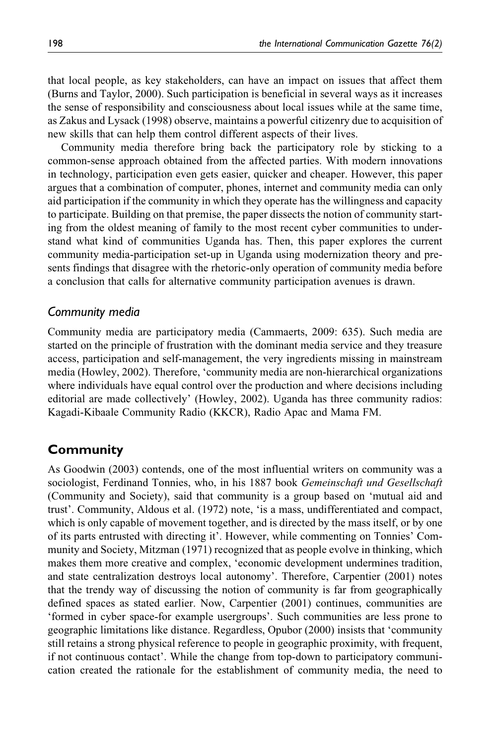that local people, as key stakeholders, can have an impact on issues that affect them (Burns and Taylor, 2000). Such participation is beneficial in several ways as it increases the sense of responsibility and consciousness about local issues while at the same time, as Zakus and Lysack (1998) observe, maintains a powerful citizenry due to acquisition of new skills that can help them control different aspects of their lives.

Community media therefore bring back the participatory role by sticking to a common-sense approach obtained from the affected parties. With modern innovations in technology, participation even gets easier, quicker and cheaper. However, this paper argues that a combination of computer, phones, internet and community media can only aid participation if the community in which they operate has the willingness and capacity to participate. Building on that premise, the paper dissects the notion of community starting from the oldest meaning of family to the most recent cyber communities to understand what kind of communities Uganda has. Then, this paper explores the current community media-participation set-up in Uganda using modernization theory and presents findings that disagree with the rhetoric-only operation of community media before a conclusion that calls for alternative community participation avenues is drawn.

### Community media

Community media are participatory media (Cammaerts, 2009: 635). Such media are started on the principle of frustration with the dominant media service and they treasure access, participation and self-management, the very ingredients missing in mainstream media (Howley, 2002). Therefore, 'community media are non-hierarchical organizations where individuals have equal control over the production and where decisions including editorial are made collectively' (Howley, 2002). Uganda has three community radios: Kagadi-Kibaale Community Radio (KKCR), Radio Apac and Mama FM.

## Community

As Goodwin (2003) contends, one of the most influential writers on community was a sociologist, Ferdinand Tonnies, who, in his 1887 book Gemeinschaft und Gesellschaft (Community and Society), said that community is a group based on 'mutual aid and trust'. Community, Aldous et al. (1972) note, 'is a mass, undifferentiated and compact, which is only capable of movement together, and is directed by the mass itself, or by one of its parts entrusted with directing it'. However, while commenting on Tonnies' Community and Society, Mitzman (1971) recognized that as people evolve in thinking, which makes them more creative and complex, 'economic development undermines tradition, and state centralization destroys local autonomy'. Therefore, Carpentier (2001) notes that the trendy way of discussing the notion of community is far from geographically defined spaces as stated earlier. Now, Carpentier (2001) continues, communities are 'formed in cyber space-for example usergroups'. Such communities are less prone to geographic limitations like distance. Regardless, Opubor (2000) insists that 'community still retains a strong physical reference to people in geographic proximity, with frequent, if not continuous contact'. While the change from top-down to participatory communication created the rationale for the establishment of community media, the need to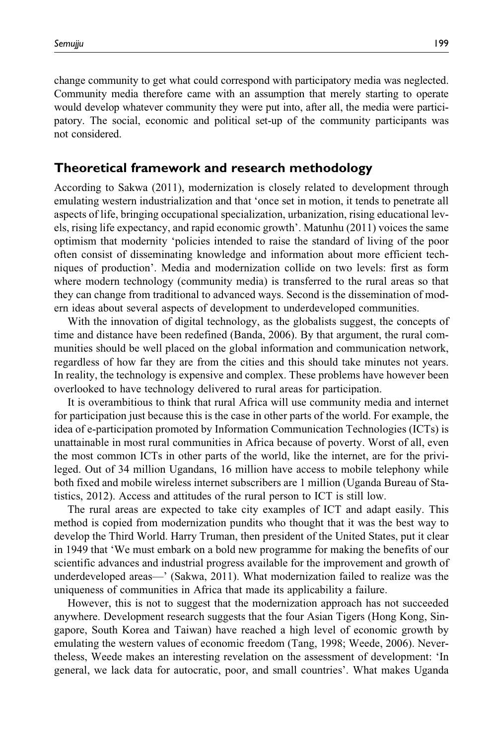change community to get what could correspond with participatory media was neglected. Community media therefore came with an assumption that merely starting to operate would develop whatever community they were put into, after all, the media were participatory. The social, economic and political set-up of the community participants was not considered.

## Theoretical framework and research methodology

According to Sakwa (2011), modernization is closely related to development through emulating western industrialization and that 'once set in motion, it tends to penetrate all aspects of life, bringing occupational specialization, urbanization, rising educational levels, rising life expectancy, and rapid economic growth'. Matunhu (2011) voices the same optimism that modernity 'policies intended to raise the standard of living of the poor often consist of disseminating knowledge and information about more efficient techniques of production'. Media and modernization collide on two levels: first as form where modern technology (community media) is transferred to the rural areas so that they can change from traditional to advanced ways. Second is the dissemination of modern ideas about several aspects of development to underdeveloped communities.

With the innovation of digital technology, as the globalists suggest, the concepts of time and distance have been redefined (Banda, 2006). By that argument, the rural communities should be well placed on the global information and communication network, regardless of how far they are from the cities and this should take minutes not years. In reality, the technology is expensive and complex. These problems have however been overlooked to have technology delivered to rural areas for participation.

It is overambitious to think that rural Africa will use community media and internet for participation just because this is the case in other parts of the world. For example, the idea of e-participation promoted by Information Communication Technologies (ICTs) is unattainable in most rural communities in Africa because of poverty. Worst of all, even the most common ICTs in other parts of the world, like the internet, are for the privileged. Out of 34 million Ugandans, 16 million have access to mobile telephony while both fixed and mobile wireless internet subscribers are 1 million (Uganda Bureau of Statistics, 2012). Access and attitudes of the rural person to ICT is still low.

The rural areas are expected to take city examples of ICT and adapt easily. This method is copied from modernization pundits who thought that it was the best way to develop the Third World. Harry Truman, then president of the United States, put it clear in 1949 that 'We must embark on a bold new programme for making the benefits of our scientific advances and industrial progress available for the improvement and growth of underdeveloped areas—' (Sakwa, 2011). What modernization failed to realize was the uniqueness of communities in Africa that made its applicability a failure.

However, this is not to suggest that the modernization approach has not succeeded anywhere. Development research suggests that the four Asian Tigers (Hong Kong, Singapore, South Korea and Taiwan) have reached a high level of economic growth by emulating the western values of economic freedom (Tang, 1998; Weede, 2006). Nevertheless, Weede makes an interesting revelation on the assessment of development: 'In general, we lack data for autocratic, poor, and small countries'. What makes Uganda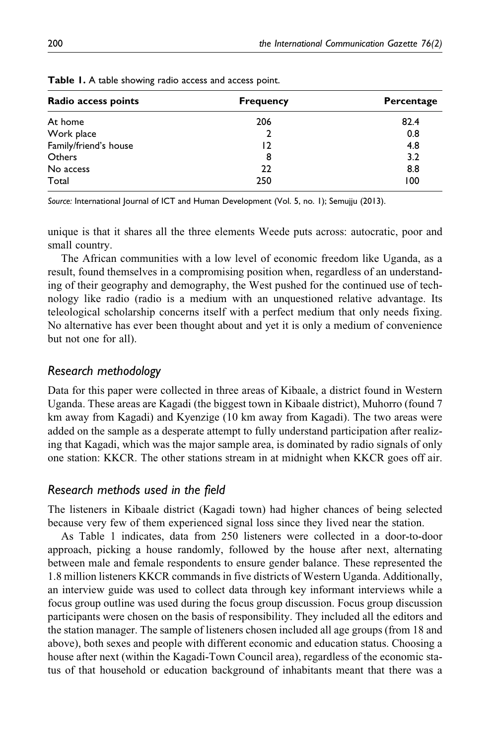| Radio access points   | <b>Frequency</b> | Percentage |  |  |  |
|-----------------------|------------------|------------|--|--|--|
| At home               | 206              | 82.4       |  |  |  |
| Work place            |                  | 0.8        |  |  |  |
| Family/friend's house | 12               | 4.8        |  |  |  |
| Others                | 8                | 3.2        |  |  |  |
| No access             | 22               | 8.8        |  |  |  |
| Total                 | 250              | 100        |  |  |  |

Table 1. A table showing radio access and access point.

Source: International Journal of ICT and Human Development (Vol. 5, no. 1); Semujju (2013).

unique is that it shares all the three elements Weede puts across: autocratic, poor and small country.

The African communities with a low level of economic freedom like Uganda, as a result, found themselves in a compromising position when, regardless of an understanding of their geography and demography, the West pushed for the continued use of technology like radio (radio is a medium with an unquestioned relative advantage. Its teleological scholarship concerns itself with a perfect medium that only needs fixing. No alternative has ever been thought about and yet it is only a medium of convenience but not one for all).

### Research methodology

Data for this paper were collected in three areas of Kibaale, a district found in Western Uganda. These areas are Kagadi (the biggest town in Kibaale district), Muhorro (found 7 km away from Kagadi) and Kyenzige (10 km away from Kagadi). The two areas were added on the sample as a desperate attempt to fully understand participation after realizing that Kagadi, which was the major sample area, is dominated by radio signals of only one station: KKCR. The other stations stream in at midnight when KKCR goes off air.

## Research methods used in the field

The listeners in Kibaale district (Kagadi town) had higher chances of being selected because very few of them experienced signal loss since they lived near the station.

As Table 1 indicates, data from 250 listeners were collected in a door-to-door approach, picking a house randomly, followed by the house after next, alternating between male and female respondents to ensure gender balance. These represented the 1.8 million listeners KKCR commands in five districts of Western Uganda. Additionally, an interview guide was used to collect data through key informant interviews while a focus group outline was used during the focus group discussion. Focus group discussion participants were chosen on the basis of responsibility. They included all the editors and the station manager. The sample of listeners chosen included all age groups (from 18 and above), both sexes and people with different economic and education status. Choosing a house after next (within the Kagadi-Town Council area), regardless of the economic status of that household or education background of inhabitants meant that there was a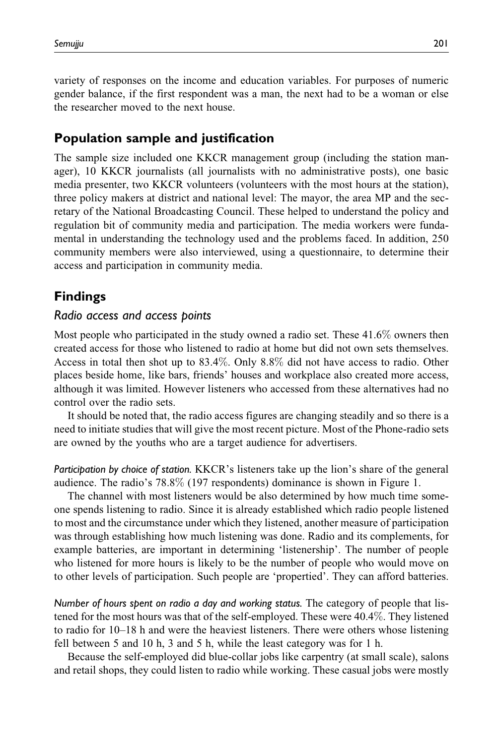variety of responses on the income and education variables. For purposes of numeric gender balance, if the first respondent was a man, the next had to be a woman or else the researcher moved to the next house.

## Population sample and justification

The sample size included one KKCR management group (including the station manager), 10 KKCR journalists (all journalists with no administrative posts), one basic media presenter, two KKCR volunteers (volunteers with the most hours at the station), three policy makers at district and national level: The mayor, the area MP and the secretary of the National Broadcasting Council. These helped to understand the policy and regulation bit of community media and participation. The media workers were fundamental in understanding the technology used and the problems faced. In addition, 250 community members were also interviewed, using a questionnaire, to determine their access and participation in community media.

# Findings

#### Radio access and access points

Most people who participated in the study owned a radio set. These 41.6% owners then created access for those who listened to radio at home but did not own sets themselves. Access in total then shot up to 83.4%. Only 8.8% did not have access to radio. Other places beside home, like bars, friends' houses and workplace also created more access, although it was limited. However listeners who accessed from these alternatives had no control over the radio sets.

It should be noted that, the radio access figures are changing steadily and so there is a need to initiate studies that will give the most recent picture. Most of the Phone-radio sets are owned by the youths who are a target audience for advertisers.

Participation by choice of station. KKCR's listeners take up the lion's share of the general audience. The radio's 78.8% (197 respondents) dominance is shown in Figure 1.

The channel with most listeners would be also determined by how much time someone spends listening to radio. Since it is already established which radio people listened to most and the circumstance under which they listened, another measure of participation was through establishing how much listening was done. Radio and its complements, for example batteries, are important in determining 'listenership'. The number of people who listened for more hours is likely to be the number of people who would move on to other levels of participation. Such people are 'propertied'. They can afford batteries.

Number of hours spent on radio a day and working status. The category of people that listened for the most hours was that of the self-employed. These were 40.4%. They listened to radio for 10–18 h and were the heaviest listeners. There were others whose listening fell between 5 and 10 h, 3 and 5 h, while the least category was for 1 h.

Because the self-employed did blue-collar jobs like carpentry (at small scale), salons and retail shops, they could listen to radio while working. These casual jobs were mostly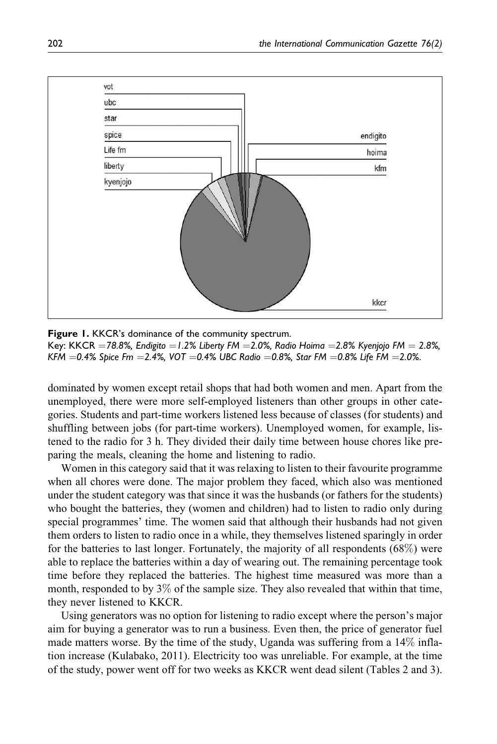

**Figure 1.** KKCR's dominance of the community spectrum. Key: KKCR  $=$  78.8%, Endigito  $=$  1.2% Liberty FM  $=$  2.0%, Radio Hoima  $=$  2.8% Kyenjojo FM  $=$  2.8%, KFM  $=$  0.4% Spice Fm  $=$  2.4%, VOT  $=$  0.4% UBC Radio  $=$  0.8%, Star FM  $=$  0.8% Life FM  $=$  2.0%.

dominated by women except retail shops that had both women and men. Apart from the unemployed, there were more self-employed listeners than other groups in other categories. Students and part-time workers listened less because of classes (for students) and shuffling between jobs (for part-time workers). Unemployed women, for example, listened to the radio for 3 h. They divided their daily time between house chores like preparing the meals, cleaning the home and listening to radio.

Women in this category said that it was relaxing to listen to their favourite programme when all chores were done. The major problem they faced, which also was mentioned under the student category was that since it was the husbands (or fathers for the students) who bought the batteries, they (women and children) had to listen to radio only during special programmes' time. The women said that although their husbands had not given them orders to listen to radio once in a while, they themselves listened sparingly in order for the batteries to last longer. Fortunately, the majority of all respondents (68%) were able to replace the batteries within a day of wearing out. The remaining percentage took time before they replaced the batteries. The highest time measured was more than a month, responded to by  $3\%$  of the sample size. They also revealed that within that time, they never listened to KKCR.

Using generators was no option for listening to radio except where the person's major aim for buying a generator was to run a business. Even then, the price of generator fuel made matters worse. By the time of the study, Uganda was suffering from a 14% inflation increase (Kulabako, 2011). Electricity too was unreliable. For example, at the time of the study, power went off for two weeks as KKCR went dead silent (Tables 2 and 3).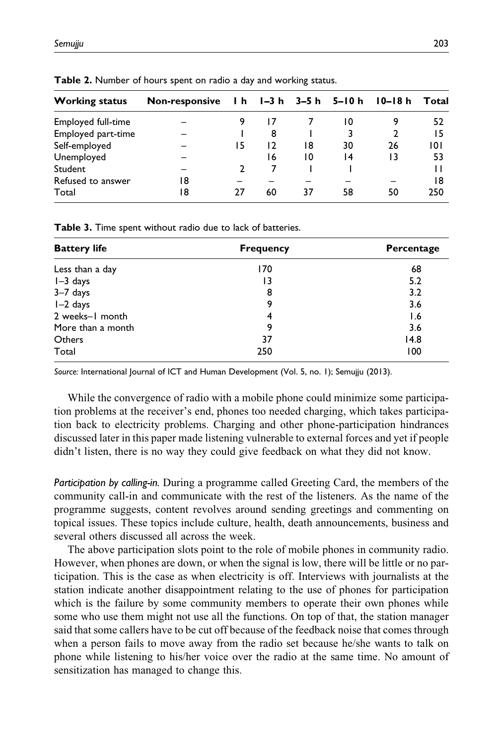| <b>Working status</b> | Non-responsive |    |    |    | $1 h$ $1 - 3 h$ $3 - 5 h$ $5 - 10 h$ | l0–l8 h | Total |
|-----------------------|----------------|----|----|----|--------------------------------------|---------|-------|
| Employed full-time    |                |    |    |    | 10                                   |         | 52    |
| Employed part-time    |                |    | 8  |    |                                      |         | 15    |
| Self-employed         |                | 15 | 12 | 18 | 30                                   | 26      | 101   |
| Unemployed            |                |    | 16 | 10 | 14                                   | 13      | 53    |
| Student               |                |    |    |    |                                      |         |       |
| Refused to answer     | 18             |    |    |    |                                      |         | 18    |
| Total                 | 18             | 77 | 60 | 37 | 58                                   | 50      | 250   |

Table 2. Number of hours spent on radio a day and working status.

Table 3. Time spent without radio due to lack of batteries.

| <b>Battery life</b> | <b>Frequency</b> | Percentage |  |  |
|---------------------|------------------|------------|--|--|
| Less than a day     | 170              | 68         |  |  |
| l-3 days            | 13               | 5.2        |  |  |
| $3-7$ days          | 8                | 3.2        |  |  |
| I-2 days            | 9                | 3.6        |  |  |
| 2 weeks-1 month     | 4                | 1.6        |  |  |
| More than a month   | 9                | 3.6        |  |  |
| Others              | 37               | 14.8       |  |  |
| Total               | 250              | 100        |  |  |

Source: International Journal of ICT and Human Development (Vol. 5, no. 1); Semujju (2013).

While the convergence of radio with a mobile phone could minimize some participation problems at the receiver's end, phones too needed charging, which takes participation back to electricity problems. Charging and other phone-participation hindrances discussed later in this paper made listening vulnerable to external forces and yet if people didn't listen, there is no way they could give feedback on what they did not know.

Participation by calling-in. During a programme called Greeting Card, the members of the community call-in and communicate with the rest of the listeners. As the name of the programme suggests, content revolves around sending greetings and commenting on topical issues. These topics include culture, health, death announcements, business and several others discussed all across the week.

The above participation slots point to the role of mobile phones in community radio. However, when phones are down, or when the signal is low, there will be little or no participation. This is the case as when electricity is off. Interviews with journalists at the station indicate another disappointment relating to the use of phones for participation which is the failure by some community members to operate their own phones while some who use them might not use all the functions. On top of that, the station manager said that some callers have to be cut off because of the feedback noise that comes through when a person fails to move away from the radio set because he/she wants to talk on phone while listening to his/her voice over the radio at the same time. No amount of sensitization has managed to change this.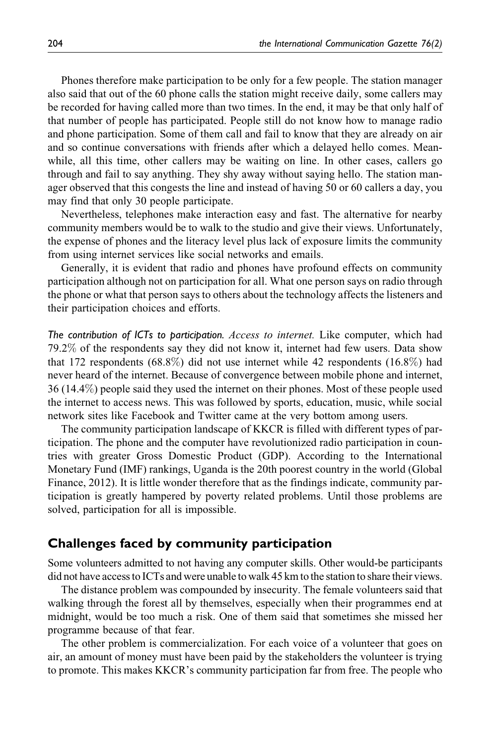Phones therefore make participation to be only for a few people. The station manager also said that out of the 60 phone calls the station might receive daily, some callers may be recorded for having called more than two times. In the end, it may be that only half of that number of people has participated. People still do not know how to manage radio and phone participation. Some of them call and fail to know that they are already on air and so continue conversations with friends after which a delayed hello comes. Meanwhile, all this time, other callers may be waiting on line. In other cases, callers go through and fail to say anything. They shy away without saying hello. The station manager observed that this congests the line and instead of having 50 or 60 callers a day, you may find that only 30 people participate.

Nevertheless, telephones make interaction easy and fast. The alternative for nearby community members would be to walk to the studio and give their views. Unfortunately, the expense of phones and the literacy level plus lack of exposure limits the community from using internet services like social networks and emails.

Generally, it is evident that radio and phones have profound effects on community participation although not on participation for all. What one person says on radio through the phone or what that person says to others about the technology affects the listeners and their participation choices and efforts.

The contribution of ICTs to participation. Access to internet. Like computer, which had 79.2% of the respondents say they did not know it, internet had few users. Data show that 172 respondents (68.8%) did not use internet while 42 respondents (16.8%) had never heard of the internet. Because of convergence between mobile phone and internet, 36 (14.4%) people said they used the internet on their phones. Most of these people used the internet to access news. This was followed by sports, education, music, while social network sites like Facebook and Twitter came at the very bottom among users.

The community participation landscape of KKCR is filled with different types of participation. The phone and the computer have revolutionized radio participation in countries with greater Gross Domestic Product (GDP). According to the International Monetary Fund (IMF) rankings, Uganda is the 20th poorest country in the world (Global Finance, 2012). It is little wonder therefore that as the findings indicate, community participation is greatly hampered by poverty related problems. Until those problems are solved, participation for all is impossible.

## Challenges faced by community participation

Some volunteers admitted to not having any computer skills. Other would-be participants did not have access to ICTs and were unable to walk 45 km to the station to share their views.

The distance problem was compounded by insecurity. The female volunteers said that walking through the forest all by themselves, especially when their programmes end at midnight, would be too much a risk. One of them said that sometimes she missed her programme because of that fear.

The other problem is commercialization. For each voice of a volunteer that goes on air, an amount of money must have been paid by the stakeholders the volunteer is trying to promote. This makes KKCR's community participation far from free. The people who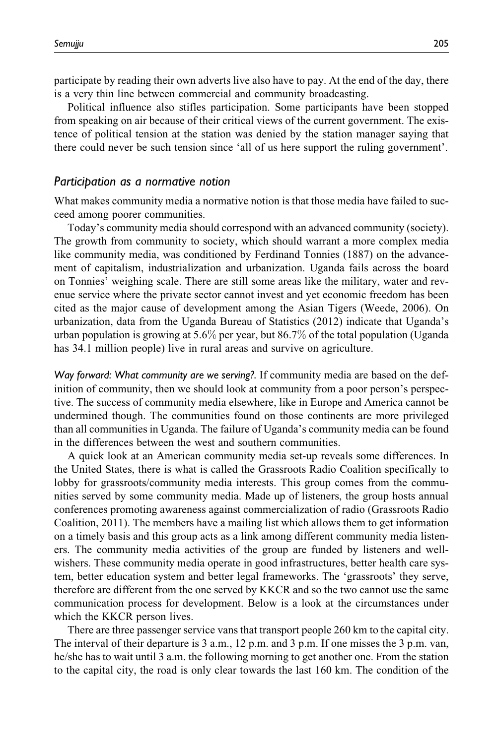participate by reading their own adverts live also have to pay. At the end of the day, there is a very thin line between commercial and community broadcasting.

Political influence also stifles participation. Some participants have been stopped from speaking on air because of their critical views of the current government. The existence of political tension at the station was denied by the station manager saying that there could never be such tension since 'all of us here support the ruling government'.

#### Participation as a normative notion

What makes community media a normative notion is that those media have failed to succeed among poorer communities.

Today's community media should correspond with an advanced community (society). The growth from community to society, which should warrant a more complex media like community media, was conditioned by Ferdinand Tonnies (1887) on the advancement of capitalism, industrialization and urbanization. Uganda fails across the board on Tonnies' weighing scale. There are still some areas like the military, water and revenue service where the private sector cannot invest and yet economic freedom has been cited as the major cause of development among the Asian Tigers (Weede, 2006). On urbanization, data from the Uganda Bureau of Statistics (2012) indicate that Uganda's urban population is growing at  $5.6\%$  per year, but  $86.7\%$  of the total population (Uganda has 34.1 million people) live in rural areas and survive on agriculture.

Way forward: What community are we serving?. If community media are based on the definition of community, then we should look at community from a poor person's perspective. The success of community media elsewhere, like in Europe and America cannot be undermined though. The communities found on those continents are more privileged than all communities in Uganda. The failure of Uganda's community media can be found in the differences between the west and southern communities.

A quick look at an American community media set-up reveals some differences. In the United States, there is what is called the Grassroots Radio Coalition specifically to lobby for grassroots/community media interests. This group comes from the communities served by some community media. Made up of listeners, the group hosts annual conferences promoting awareness against commercialization of radio (Grassroots Radio Coalition, 2011). The members have a mailing list which allows them to get information on a timely basis and this group acts as a link among different community media listeners. The community media activities of the group are funded by listeners and wellwishers. These community media operate in good infrastructures, better health care system, better education system and better legal frameworks. The 'grassroots' they serve, therefore are different from the one served by KKCR and so the two cannot use the same communication process for development. Below is a look at the circumstances under which the KKCR person lives.

There are three passenger service vans that transport people 260 km to the capital city. The interval of their departure is 3 a.m., 12 p.m. and 3 p.m. If one misses the 3 p.m. van, he/she has to wait until 3 a.m. the following morning to get another one. From the station to the capital city, the road is only clear towards the last 160 km. The condition of the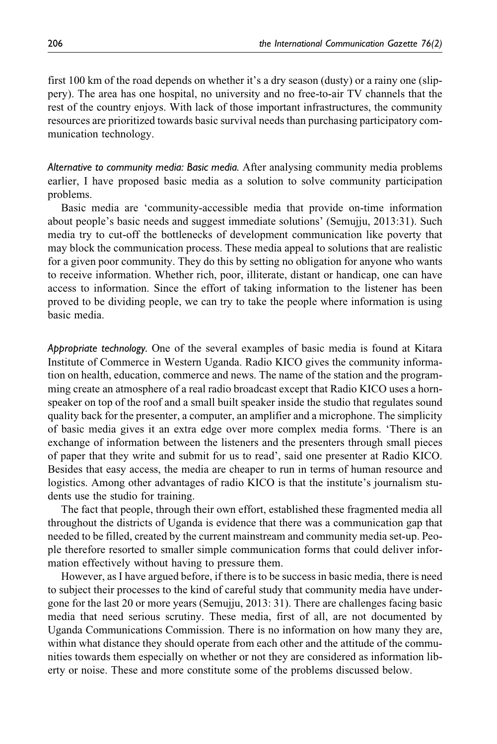first 100 km of the road depends on whether it's a dry season (dusty) or a rainy one (slippery). The area has one hospital, no university and no free-to-air TV channels that the rest of the country enjoys. With lack of those important infrastructures, the community resources are prioritized towards basic survival needs than purchasing participatory communication technology.

Alternative to community media: Basic media. After analysing community media problems earlier, I have proposed basic media as a solution to solve community participation problems.

Basic media are 'community-accessible media that provide on-time information about people's basic needs and suggest immediate solutions' (Semujju, 2013:31). Such media try to cut-off the bottlenecks of development communication like poverty that may block the communication process. These media appeal to solutions that are realistic for a given poor community. They do this by setting no obligation for anyone who wants to receive information. Whether rich, poor, illiterate, distant or handicap, one can have access to information. Since the effort of taking information to the listener has been proved to be dividing people, we can try to take the people where information is using basic media.

Appropriate technology. One of the several examples of basic media is found at Kitara Institute of Commerce in Western Uganda. Radio KICO gives the community information on health, education, commerce and news. The name of the station and the programming create an atmosphere of a real radio broadcast except that Radio KICO uses a hornspeaker on top of the roof and a small built speaker inside the studio that regulates sound quality back for the presenter, a computer, an amplifier and a microphone. The simplicity of basic media gives it an extra edge over more complex media forms. 'There is an exchange of information between the listeners and the presenters through small pieces of paper that they write and submit for us to read', said one presenter at Radio KICO. Besides that easy access, the media are cheaper to run in terms of human resource and logistics. Among other advantages of radio KICO is that the institute's journalism students use the studio for training.

The fact that people, through their own effort, established these fragmented media all throughout the districts of Uganda is evidence that there was a communication gap that needed to be filled, created by the current mainstream and community media set-up. People therefore resorted to smaller simple communication forms that could deliver information effectively without having to pressure them.

However, as I have argued before, if there is to be success in basic media, there is need to subject their processes to the kind of careful study that community media have undergone for the last 20 or more years (Semujju, 2013: 31). There are challenges facing basic media that need serious scrutiny. These media, first of all, are not documented by Uganda Communications Commission. There is no information on how many they are, within what distance they should operate from each other and the attitude of the communities towards them especially on whether or not they are considered as information liberty or noise. These and more constitute some of the problems discussed below.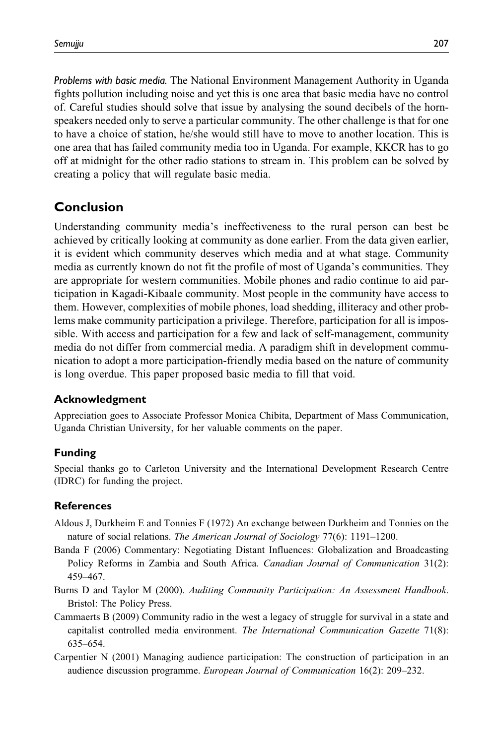Problems with basic media. The National Environment Management Authority in Uganda fights pollution including noise and yet this is one area that basic media have no control of. Careful studies should solve that issue by analysing the sound decibels of the hornspeakers needed only to serve a particular community. The other challenge is that for one to have a choice of station, he/she would still have to move to another location. This is one area that has failed community media too in Uganda. For example, KKCR has to go off at midnight for the other radio stations to stream in. This problem can be solved by creating a policy that will regulate basic media.

# Conclusion

Understanding community media's ineffectiveness to the rural person can best be achieved by critically looking at community as done earlier. From the data given earlier, it is evident which community deserves which media and at what stage. Community media as currently known do not fit the profile of most of Uganda's communities. They are appropriate for western communities. Mobile phones and radio continue to aid participation in Kagadi-Kibaale community. Most people in the community have access to them. However, complexities of mobile phones, load shedding, illiteracy and other problems make community participation a privilege. Therefore, participation for all is impossible. With access and participation for a few and lack of self-management, community media do not differ from commercial media. A paradigm shift in development communication to adopt a more participation-friendly media based on the nature of community is long overdue. This paper proposed basic media to fill that void.

### Acknowledgment

Appreciation goes to Associate Professor Monica Chibita, Department of Mass Communication, Uganda Christian University, for her valuable comments on the paper.

#### Funding

Special thanks go to Carleton University and the International Development Research Centre (IDRC) for funding the project.

#### **References**

- Aldous J, Durkheim E and Tonnies F (1972) An exchange between Durkheim and Tonnies on the nature of social relations. The American Journal of Sociology 77(6): 1191–1200.
- Banda F (2006) Commentary: Negotiating Distant Influences: Globalization and Broadcasting Policy Reforms in Zambia and South Africa. Canadian Journal of Communication 31(2): 459–467.
- Burns D and Taylor M (2000). Auditing Community Participation: An Assessment Handbook. Bristol: The Policy Press.
- Cammaerts B (2009) Community radio in the west a legacy of struggle for survival in a state and capitalist controlled media environment. The International Communication Gazette 71(8): 635–654.
- Carpentier N (2001) Managing audience participation: The construction of participation in an audience discussion programme. European Journal of Communication 16(2): 209–232.